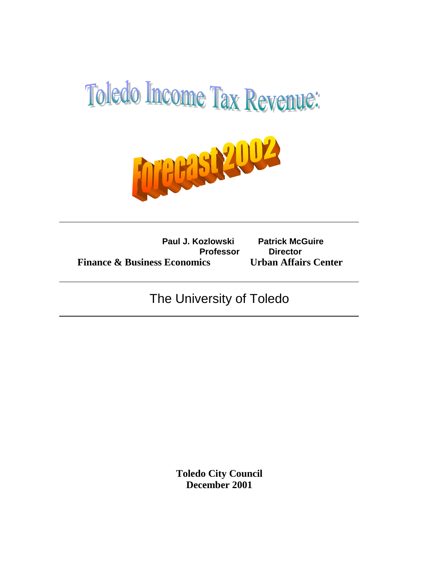

**Paul J. Kozlowski Patrick McGuire Professor Director Finance & Business Economics Urban Affairs Center**

# The University of Toledo

**Toledo City Council December 2001**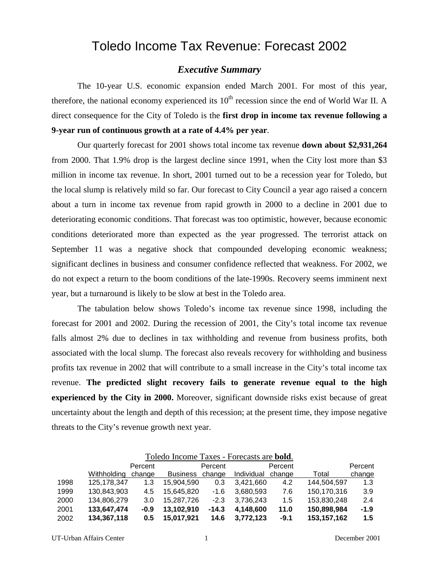## Toledo Income Tax Revenue: Forecast 2002

## *Executive Summary*

The 10-year U.S. economic expansion ended March 2001. For most of this year, therefore, the national economy experienced its  $10<sup>th</sup>$  recession since the end of World War II. A direct consequence for the City of Toledo is the **first drop in income tax revenue following a 9-year run of continuous growth at a rate of 4.4% per year**.

Our quarterly forecast for 2001 shows total income tax revenue **down about \$2,931,264** from 2000. That 1.9% drop is the largest decline since 1991, when the City lost more than \$3 million in income tax revenue. In short, 2001 turned out to be a recession year for Toledo, but the local slump is relatively mild so far. Our forecast to City Council a year ago raised a concern about a turn in income tax revenue from rapid growth in 2000 to a decline in 2001 due to deteriorating economic conditions. That forecast was too optimistic, however, because economic conditions deteriorated more than expected as the year progressed. The terrorist attack on September 11 was a negative shock that compounded developing economic weakness; significant declines in business and consumer confidence reflected that weakness. For 2002, we do not expect a return to the boom conditions of the late-1990s. Recovery seems imminent next year, but a turnaround is likely to be slow at best in the Toledo area.

The tabulation below shows Toledo's income tax revenue since 1998, including the forecast for 2001 and 2002. During the recession of 2001, the City's total income tax revenue falls almost 2% due to declines in tax withholding and revenue from business profits, both associated with the local slump. The forecast also reveals recovery for withholding and business profits tax revenue in 2002 that will contribute to a small increase in the City's total income tax revenue. **The predicted slight recovery fails to generate revenue equal to the high experienced by the City in 2000.** Moreover, significant downside risks exist because of great uncertainty about the length and depth of this recession; at the present time, they impose negative threats to the City's revenue growth next year.

|      | Toledo Income Taxes - Forecasts are <b>bold</b> . |        |                 |         |            |        |               |        |
|------|---------------------------------------------------|--------|-----------------|---------|------------|--------|---------------|--------|
|      | Percent                                           |        | Percent         |         | Percent    |        | Percent       |        |
|      | Withholding                                       | change | <b>Business</b> | change  | Individual | change | Total         | change |
| 1998 | 125.178.347                                       | 1.3    | 15,904,590      | 0.3     | 3.421.660  | 4.2    | 144,504,597   | 1.3    |
| 1999 | 130,843,903                                       | 4.5    | 15,645,820      | $-1.6$  | 3,680,593  | 7.6    | 150,170,316   | 3.9    |
| 2000 | 134,806,279                                       | 3.0    | 15,287,726      | $-2.3$  | 3,736,243  | 1.5    | 153,830,248   | 2.4    |
| 2001 | 133,647,474                                       | $-0.9$ | 13,102,910      | $-14.3$ | 4,148,600  | 11.0   | 150,898,984   | $-1.9$ |
| 2002 | 134,367,118                                       | 0.5    | 15,017,921      | 14.6    | 3.772.123  | $-9.1$ | 153, 157, 162 | 1.5    |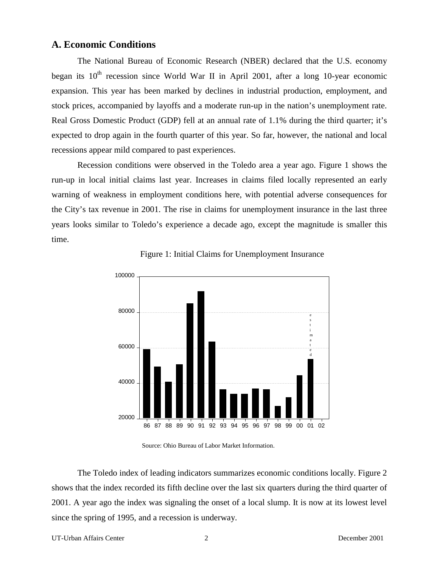## **A. Economic Conditions**

The National Bureau of Economic Research (NBER) declared that the U.S. economy began its  $10<sup>th</sup>$  recession since World War II in April 2001, after a long 10-year economic expansion. This year has been marked by declines in industrial production, employment, and stock prices, accompanied by layoffs and a moderate run-up in the nation's unemployment rate. Real Gross Domestic Product (GDP) fell at an annual rate of 1.1% during the third quarter; it's expected to drop again in the fourth quarter of this year. So far, however, the national and local recessions appear mild compared to past experiences.

Recession conditions were observed in the Toledo area a year ago. Figure 1 shows the run-up in local initial claims last year. Increases in claims filed locally represented an early warning of weakness in employment conditions here, with potential adverse consequences for the City's tax revenue in 2001. The rise in claims for unemployment insurance in the last three years looks similar to Toledo's experience a decade ago, except the magnitude is smaller this time.



Figure 1: Initial Claims for Unemployment Insurance

Source: Ohio Bureau of Labor Market Information.

The Toledo index of leading indicators summarizes economic conditions locally. Figure 2 shows that the index recorded its fifth decline over the last six quarters during the third quarter of 2001. A year ago the index was signaling the onset of a local slump. It is now at its lowest level since the spring of 1995, and a recession is underway.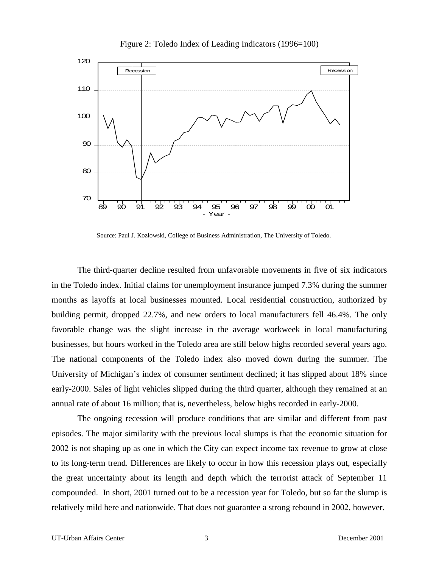

Figure 2: Toledo Index of Leading Indicators (1996=100)

Source: Paul J. Kozlowski, College of Business Administration, The University of Toledo.

The third-quarter decline resulted from unfavorable movements in five of six indicators in the Toledo index. Initial claims for unemployment insurance jumped 7.3% during the summer months as layoffs at local businesses mounted. Local residential construction, authorized by building permit, dropped 22.7%, and new orders to local manufacturers fell 46.4%. The only favorable change was the slight increase in the average workweek in local manufacturing businesses, but hours worked in the Toledo area are still below highs recorded several years ago. The national components of the Toledo index also moved down during the summer. The University of Michigan's index of consumer sentiment declined; it has slipped about 18% since early-2000. Sales of light vehicles slipped during the third quarter, although they remained at an annual rate of about 16 million; that is, nevertheless, below highs recorded in early-2000.

The ongoing recession will produce conditions that are similar and different from past episodes. The major similarity with the previous local slumps is that the economic situation for 2002 is not shaping up as one in which the City can expect income tax revenue to grow at close to its long-term trend. Differences are likely to occur in how this recession plays out, especially the great uncertainty about its length and depth which the terrorist attack of September 11 compounded. In short, 2001 turned out to be a recession year for Toledo, but so far the slump is relatively mild here and nationwide. That does not guarantee a strong rebound in 2002, however.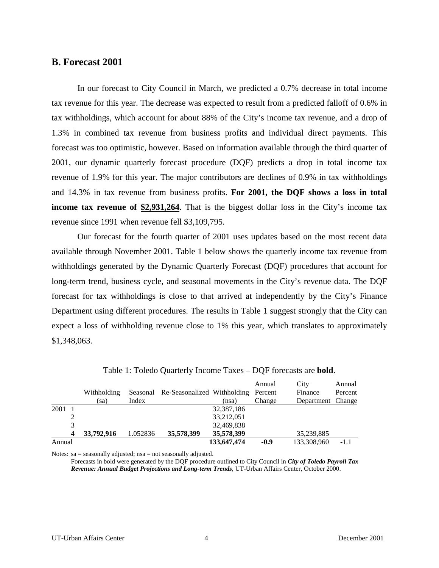#### **B. Forecast 2001**

In our forecast to City Council in March, we predicted a 0.7% decrease in total income tax revenue for this year. The decrease was expected to result from a predicted falloff of 0.6% in tax withholdings, which account for about 88% of the City's income tax revenue, and a drop of 1.3% in combined tax revenue from business profits and individual direct payments. This forecast was too optimistic, however. Based on information available through the third quarter of 2001, our dynamic quarterly forecast procedure (DQF) predicts a drop in total income tax revenue of 1.9% for this year. The major contributors are declines of 0.9% in tax withholdings and 14.3% in tax revenue from business profits. **For 2001, the DQF shows a loss in total income tax revenue of \$2,931,264**. That is the biggest dollar loss in the City's income tax revenue since 1991 when revenue fell \$3,109,795.

Our forecast for the fourth quarter of 2001 uses updates based on the most recent data available through November 2001. Table 1 below shows the quarterly income tax revenue from withholdings generated by the Dynamic Quarterly Forecast (DQF) procedures that account for long-term trend, business cycle, and seasonal movements in the City's revenue data. The DQF forecast for tax withholdings is close to that arrived at independently by the City's Finance Department using different procedures. The results in Table 1 suggest strongly that the City can expect a loss of withholding revenue close to 1% this year, which translates to approximately \$1,348,063.

|        |   |             |          |                                              |             | Annual | City              | Annual  |
|--------|---|-------------|----------|----------------------------------------------|-------------|--------|-------------------|---------|
|        |   | Withholding |          | Seasonal Re-Seasonalized Withholding Percent |             |        | Finance           | Percent |
|        |   | (sa)        | Index    |                                              | (nsa)       | Change | Department Change |         |
| 2001   |   |             |          |                                              | 32,387,186  |        |                   |         |
|        |   |             |          |                                              | 33,212,051  |        |                   |         |
|        | 3 |             |          |                                              | 32,469,838  |        |                   |         |
|        | 4 | 33,792,916  | 1.052836 | 35,578,399                                   | 35,578,399  |        | 35,239,885        |         |
| Annual |   |             |          |                                              | 133,647,474 | $-0.9$ | 133,308,960       | -1.1    |

Table 1: Toledo Quarterly Income Taxes – DQF forecasts are **bold**.

Notes: sa = seasonally adjusted; nsa = not seasonally adjusted.

Forecasts in bold were generated by the DQF procedure outlined to City Council in *City of Toledo Payroll Tax Revenue: Annual Budget Projections and Long-term Trends*, UT-Urban Affairs Center, October 2000.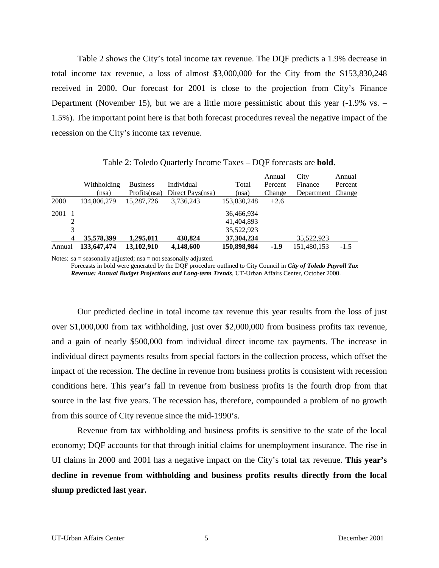Table 2 shows the City's total income tax revenue. The DQF predicts a 1.9% decrease in total income tax revenue, a loss of almost \$3,000,000 for the City from the \$153,830,248 received in 2000. Our forecast for 2001 is close to the projection from City's Finance Department (November 15), but we are a little more pessimistic about this year (-1.9% vs. – 1.5%). The important point here is that both forecast procedures reveal the negative impact of the recession on the City's income tax revenue.

|        |   |             |                 |                  |             | Annual  | City              | Annual  |
|--------|---|-------------|-----------------|------------------|-------------|---------|-------------------|---------|
|        |   | Withholding | <b>Business</b> | Individual       | Total       | Percent | Finance           | Percent |
|        |   | (nsa)       | Profits(nsa)    | Direct Pays(nsa) | (nsa)       | Change  | Department Change |         |
| 2000   |   | 134,806,279 | 15.287.726      | 3,736,243        | 153,830,248 | $+2.6$  |                   |         |
| 2001   |   |             |                 |                  | 36,466,934  |         |                   |         |
|        | 2 |             |                 |                  | 41,404,893  |         |                   |         |
|        | 3 |             |                 |                  | 35,522,923  |         |                   |         |
|        | 4 | 35,578,399  | 1.295.011       | 430,824          | 37,304,234  |         | 35.522.923        |         |
| Annual |   | 133,647,474 | 13,102,910      | 4,148,600        | 150,898,984 | -1.9    | 151.480.153       | $-1.5$  |

Table 2: Toledo Quarterly Income Taxes – DQF forecasts are **bold**.

Notes: sa = seasonally adjusted; nsa = not seasonally adjusted.

Forecasts in bold were generated by the DQF procedure outlined to City Council in *City of Toledo Payroll Tax Revenue: Annual Budget Projections and Long-term Trends*, UT-Urban Affairs Center, October 2000.

Our predicted decline in total income tax revenue this year results from the loss of just over \$1,000,000 from tax withholding, just over \$2,000,000 from business profits tax revenue, and a gain of nearly \$500,000 from individual direct income tax payments. The increase in individual direct payments results from special factors in the collection process, which offset the impact of the recession. The decline in revenue from business profits is consistent with recession conditions here. This year's fall in revenue from business profits is the fourth drop from that source in the last five years. The recession has, therefore, compounded a problem of no growth from this source of City revenue since the mid-1990's.

Revenue from tax withholding and business profits is sensitive to the state of the local economy; DQF accounts for that through initial claims for unemployment insurance. The rise in UI claims in 2000 and 2001 has a negative impact on the City's total tax revenue. **This year's decline in revenue from withholding and business profits results directly from the local slump predicted last year.**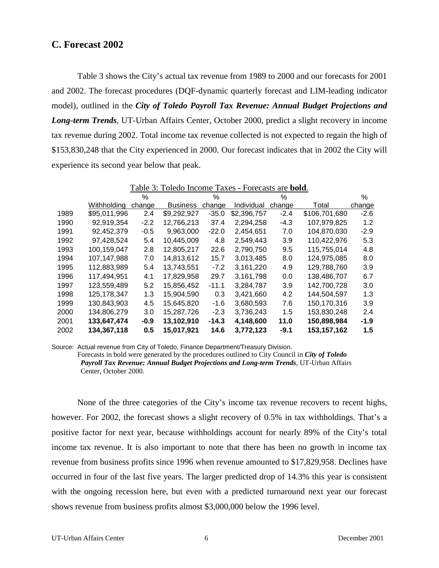## **C. Forecast 2002**

Table 3 shows the City's actual tax revenue from 1989 to 2000 and our forecasts for 2001 and 2002. The forecast procedures (DQF-dynamic quarterly forecast and LIM-leading indicator model), outlined in the *City of Toledo Payroll Tax Revenue: Annual Budget Projections and Long-term Trends*, UT-Urban Affairs Center, October 2000, predict a slight recovery in income tax revenue during 2002. Total income tax revenue collected is not expected to regain the high of \$153,830,248 that the City experienced in 2000. Our forecast indicates that in 2002 the City will experience its second year below that peak.

|      | Table 3: Toledo Income Taxes - Forecasts are <b>bold</b> . |        |                 |         |             |        |               |        |
|------|------------------------------------------------------------|--------|-----------------|---------|-------------|--------|---------------|--------|
|      |                                                            | %      |                 | $\%$    |             | ℅      |               | ℅      |
|      | Withholdina                                                | change | <b>Business</b> | change  | Individual  | change | Total         | change |
| 1989 | \$95,011,996                                               | 2.4    | \$9,292,927     | $-35.0$ | \$2,396,757 | $-2.4$ | \$106,701,680 | $-2.6$ |
| 1990 | 92,919,354                                                 | $-2.2$ | 12,766,213      | 37.4    | 2,294,258   | $-4.3$ | 107,979,825   | 1.2    |
| 1991 | 92,452,379                                                 | $-0.5$ | 9,963,000       | $-22.0$ | 2,454,651   | 7.0    | 104,870,030   | $-2.9$ |
| 1992 | 97,428,524                                                 | 5.4    | 10,445,009      | 4.8     | 2,549,443   | 3.9    | 110,422,976   | 5.3    |
| 1993 | 100,159,047                                                | 2.8    | 12,805,217      | 22.6    | 2,790,750   | 9.5    | 115,755,014   | 4.8    |
| 1994 | 107.147.988                                                | 7.0    | 14,813,612      | 15.7    | 3,013,485   | 8.0    | 124,975,085   | 8.0    |
| 1995 | 112,883,989                                                | 5.4    | 13,743,551      | $-7.2$  | 3,161,220   | 4.9    | 129,788,760   | 3.9    |
| 1996 | 117,494,951                                                | 4.1    | 17,829,958      | 29.7    | 3.161.798   | 0.0    | 138,486,707   | 6.7    |
| 1997 | 123,559,489                                                | 5.2    | 15,856,452      | $-11.1$ | 3,284,787   | 3.9    | 142,700,728   | 3.0    |
| 1998 | 125, 178, 347                                              | 1.3    | 15,904,590      | 0.3     | 3,421,660   | 4.2    | 144.504.597   | 1.3    |
| 1999 | 130,843,903                                                | 4.5    | 15,645,820      | $-1.6$  | 3,680,593   | 7.6    | 150,170,316   | 3.9    |
| 2000 | 134,806,279                                                | 3.0    | 15,287,726      | $-2.3$  | 3,736,243   | 1.5    | 153,830,248   | 2.4    |
| 2001 | 133,647,474                                                | $-0.9$ | 13,102,910      | $-14.3$ | 4,148,600   | 11.0   | 150,898,984   | $-1.9$ |
| 2002 | 134.367.118                                                | 0.5    | 15,017,921      | 14.6    | 3,772,123   | $-9.1$ | 153, 157, 162 | 1.5    |

Source: Actual revenue from City of Toledo, Finance Department/Treasury Division. Forecasts in bold were generated by the procedures outlined to City Council in *City of Toledo Payroll Tax Revenue: Annual Budget Projections and Long-term Trends*, UT-Urban Affairs Center, October 2000.

None of the three categories of the City's income tax revenue recovers to recent highs, however. For 2002, the forecast shows a slight recovery of 0.5% in tax withholdings. That's a positive factor for next year, because withholdings account for nearly 89% of the City's total income tax revenue. It is also important to note that there has been no growth in income tax revenue from business profits since 1996 when revenue amounted to \$17,829,958. Declines have occurred in four of the last five years. The larger predicted drop of 14.3% this year is consistent with the ongoing recession here, but even with a predicted turnaround next year our forecast shows revenue from business profits almost \$3,000,000 below the 1996 level.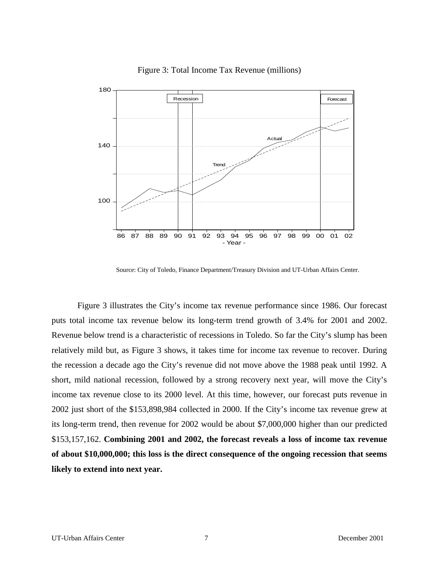

Figure 3: Total Income Tax Revenue (millions)

Source: City of Toledo, Finance Department/Treasury Division and UT-Urban Affairs Center.

Figure 3 illustrates the City's income tax revenue performance since 1986. Our forecast puts total income tax revenue below its long-term trend growth of 3.4% for 2001 and 2002. Revenue below trend is a characteristic of recessions in Toledo. So far the City's slump has been relatively mild but, as Figure 3 shows, it takes time for income tax revenue to recover. During the recession a decade ago the City's revenue did not move above the 1988 peak until 1992. A short, mild national recession, followed by a strong recovery next year, will move the City's income tax revenue close to its 2000 level. At this time, however, our forecast puts revenue in 2002 just short of the \$153,898,984 collected in 2000. If the City's income tax revenue grew at its long-term trend, then revenue for 2002 would be about \$7,000,000 higher than our predicted \$153,157,162. **Combining 2001 and 2002, the forecast reveals a loss of income tax revenue of about \$10,000,000; this loss is the direct consequence of the ongoing recession that seems likely to extend into next year.**